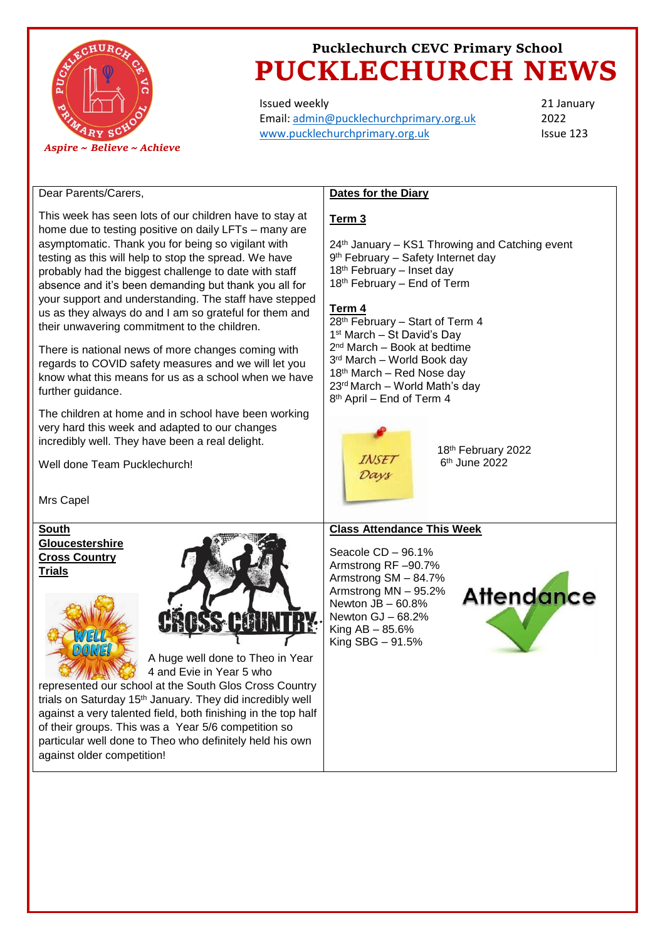

# **Pucklechurch CEVC Primary School PUCKLECHURCH NEWS**

Issued weekly Email: [admin@pucklechurchprimary.org.uk](mailto:admin@pucklechurchprimary.org.uk) [www.pucklechurchprimary.org.uk](http://www.pucklechurchprimary.org.uk/)

**Dates for the Diary**

21 January 2022 Issue 123

#### Dear Parents/Carers,

This week has seen lots of our children have to stay at **Term 3** home due to testing positive on daily LFTs – many are asymptomatic. Thank you for being so vigilant with 24<sup>th</sup> January - KS1 Throwing and Catching event testing as this will help to stop the spread. We have 9<sup>th</sup> February - Safety Internet day probably had the biggest challenge to date with staff 18<sup>th</sup> February – Inset day 18th February – End of Term absence and it's been demanding but thank you all for your support and understanding. The staff have stepped **Term 4**  us as they always do and I am so grateful for them and 28th February – Start of Term 4 their unwavering commitment to the children. 1 st March – St David's Day 2 nd March – Book at bedtime There is national news of more changes coming with 3 rd March – World Book day regards to COVID safety measures and we will let you 18th March – Red Nose day know what this means for us as a school when we have 23rd March – World Math's day further guidance. 8 th April – End of Term 4 The children at home and in school have been working very hard this week and adapted to our changes incredibly well. They have been a real delight. 18th February 2022 **INSET** Well done Team Pucklechurch! 6 th June 2022 Days Mrs Capel **South Class Attendance This Week Gloucestershire**  Seacole CD – 96.1% **Cross Country**  Armstrong RF –90.7% **Trials** Armstrong SM – 84.7% Armstrong MN – 95.2% **Attendance** Newton  $JB - 60.8\%$ Newton GJ – 68.2% King  $AB - 85.6%$ King SBG – 91.5%A huge well done to Theo in Year 4 and Evie in Year 5 who represented our school at the South Glos Cross Country trials on Saturday 15<sup>th</sup> January. They did incredibly well against a very talented field, both finishing in the top half of their groups. This was a Year 5/6 competition so particular well done to Theo who definitely held his own against older competition!